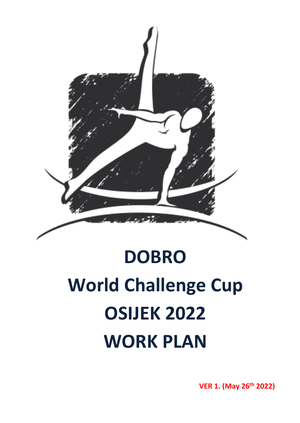

# **DOBRO World Challenge Cup OSIJEK 2022 WORK PLAN**

**VER 1. (May 26 th 2022)**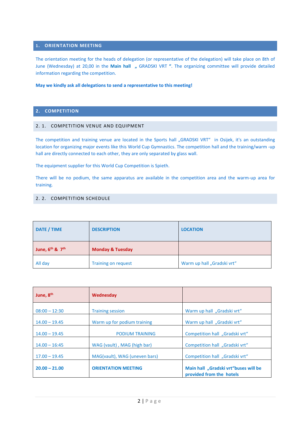#### **1. ORIENTATION MEETING**

The orientation meeting for the heads of delegation (or representative of the delegation) will take place on 8th of June (Wednesday) at 20,00 in the **Main hall "** GRADSKI VRT **"**. The organizing committee will provide detailed information regarding the competition.

#### **May we kindly ask all delegations to send a representative to this meeting!**

### **2. COMPETITION**

#### 2. 1. COMPETITION VENUE AND EQUIPMENT

The competition and training venue are located in the Sports hall "GRADSKI VRT" in Osijek, it's an outstanding location for organizing major events like this World Cup Gymnastics. The competition hall and the training/warm -up hall are directly connected to each other, they are only separated by glass wall.

The equipment supplier for this World Cup Competition is Spieth.

There will be no podium, the same apparatus are available in the competition area and the warm-up area for training.

#### 2. 2. COMPETITION SCHEDULE

| DATE / TIME               | <b>DESCRIPTION</b>          | <b>LOCATION</b>            |  |
|---------------------------|-----------------------------|----------------------------|--|
| June, $6^{th}$ & $7^{th}$ | <b>Monday &amp; Tuesday</b> |                            |  |
| All day                   | <b>Training on request</b>  | Warm up hall "Gradski vrt" |  |

| June, 8 <sup>th</sup> | Wednesday                     |                                                                  |  |
|-----------------------|-------------------------------|------------------------------------------------------------------|--|
| $08:00 - 12:30$       | <b>Training session</b>       | Warm up hall "Gradski vrt"                                       |  |
| $14.00 - 19.45$       | Warm up for podium training   | Warm up hall "Gradski vrt"                                       |  |
| $14.00 - 19.45$       | <b>PODIUM TRAINING</b>        | Competition hall "Gradski vrt"                                   |  |
| $14.00 - 16:45$       | WAG (vault), MAG (high bar)   | Competition hall "Gradski vrt"                                   |  |
| $17.00 - 19.45$       | MAG(vault), WAG (uneven bars) | Competition hall "Gradski vrt"                                   |  |
| $20.00 - 21.00$       | <b>ORIENTATION MEETING</b>    | Main hall "Gradski vrt"buses will be<br>provided from the hotels |  |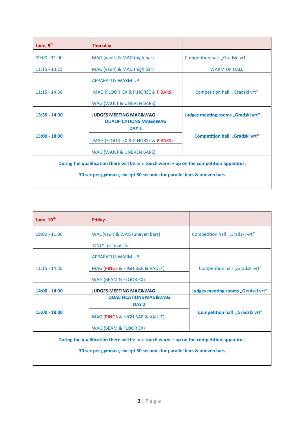| June, 9th                                                                                                                                                         | <b>Thursday</b>                                                           |                                    |  |
|-------------------------------------------------------------------------------------------------------------------------------------------------------------------|---------------------------------------------------------------------------|------------------------------------|--|
| $09:00 - 11.00$                                                                                                                                                   | MAG (vault) & MAG (high bar)                                              | Competition hall "Gradski vrt"     |  |
| $11:15 - 13.15$                                                                                                                                                   | MAG (vault) & MAG (high bar)                                              | <b>WARM UP HALL</b>                |  |
|                                                                                                                                                                   | <b>APPARATUS WARM UP</b>                                                  |                                    |  |
| $11:15 - 14.30$                                                                                                                                                   | MAG (FLOOR EX & P.HORSE & P.BARS)                                         | Competition hall "Gradski vrt"     |  |
|                                                                                                                                                                   | <b>WAG (VAULT &amp; UNEVEN BARS)</b>                                      |                                    |  |
| $13:30 - 14:30$                                                                                                                                                   | <b>JUDGES MEETING MAG&amp;WAG</b>                                         | Judges meeting rooms "Gradski vrt" |  |
|                                                                                                                                                                   | <b>QUALIFICATIONS MAG&amp;WAG</b><br>DAY <sub>1</sub>                     |                                    |  |
| $15:00 - 18:00$                                                                                                                                                   | MAG (FLOOR EX & P.HORSE & P.BARS)<br><b>WAG (VAULT &amp; UNEVEN BARS)</b> | Competition hall "Gradski vrt"     |  |
|                                                                                                                                                                   |                                                                           |                                    |  |
| During the qualification there will be one touch warm - up on the competition apparatus.<br>30 sec per gymnast, except 50 seconds for parallel bars & uneven bars |                                                                           |                                    |  |

| June, 10 <sup>th</sup> | <b>Friday</b>                                                                              |                                    |  |
|------------------------|--------------------------------------------------------------------------------------------|------------------------------------|--|
| $09:00 - 11.00$        | WAG(vault)& WAG (uneven bars)                                                              | Competition hall "Gradski vrt"     |  |
|                        | <b>ONLY for finalists</b>                                                                  |                                    |  |
|                        | <b>APPARATUS WARM UP</b>                                                                   |                                    |  |
| $11:15 - 14.30$        | MAG (RINGS & HIGH BAR & VAULT)                                                             | Competition hall "Gradski vrt"     |  |
|                        | WAG (BEAM & FLOOR EX)                                                                      |                                    |  |
| $14:00 - 14:30$        | <b>JUDGES MEETING MAG&amp;WAG</b>                                                          | Judges meeting rooms "Gradski vrt" |  |
|                        | <b>QUALIFICATIONS MAG&amp;WAG</b><br>DAY <sub>2</sub>                                      |                                    |  |
| $15:00 - 18:00$        | MAG (RINGS & HIGH BAR & VAULT)                                                             | Competition hall "Gradski vrt"     |  |
|                        | WAG (BEAM & FLOOR EX)                                                                      |                                    |  |
|                        | During the qualification there will be one touch warm $-$ up on the competition apparatus. |                                    |  |

**30 sec per gymnast, except 50 seconds for parallel bars & uneven bars**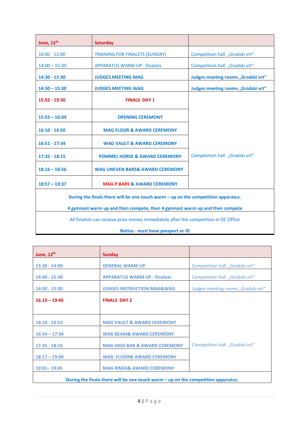| June, 11 <sup>th</sup>                                                               | Saturday                                                                          |                                    |  |
|--------------------------------------------------------------------------------------|-----------------------------------------------------------------------------------|------------------------------------|--|
| $10:00 - 12:00$                                                                      | <b>TRAINING FOR FINALSTS (SUNDAY)</b>                                             | Competition hall "Gradski vrt"     |  |
| $14:00 - 15:30$                                                                      | <b>APPARATUS WARM UP - finalists</b>                                              | Competition hall "Gradski vrt"     |  |
| 14:30 - 15:30                                                                        | <b>JUDGES MEETING MAG</b>                                                         | Judges meeting rooms "Gradski vrt" |  |
| $14:30 - 15:30$                                                                      | <b>JUDGES MEETING WAG</b>                                                         | Judges meeting rooms "Gradski vrt" |  |
| 15:55 - 19:30                                                                        | <b>FINALS DAY 1</b>                                                               |                                    |  |
| $15:55 - 16:09$                                                                      | <b>OPENING CEREMONY</b>                                                           |                                    |  |
| $16:10 - 16:50$                                                                      | <b>MAG FLOOR &amp; AWARD CEREMONY</b>                                             |                                    |  |
| $16:51 - 17:34$                                                                      | <b>WAG VAULT &amp; AWARD CEREMONY</b>                                             |                                    |  |
| $17:35 - 18:15$                                                                      | <b>POMMEL HORSE &amp; AWARD CEREMONY</b>                                          | Competition hall "Gradski vrt"     |  |
| $18:16 - 18:56$                                                                      | <b>WAG UNEVEN BARS&amp; AWARD CEREMONY</b>                                        |                                    |  |
| $18:57 - 19:37$                                                                      | <b>MAG P.BARS &amp; AWARD CEREMONY</b>                                            |                                    |  |
|                                                                                      | During the finals there will be one touch warm - up on the competition apparatus. |                                    |  |
|                                                                                      | 4 gymnast warm up and then compete, then 4 gymnast warm up and then compete       |                                    |  |
| All finalists can receive prize money immediately after the competition in OC Office |                                                                                   |                                    |  |

| Notice : must have passport or ID |  |  |
|-----------------------------------|--|--|
|-----------------------------------|--|--|

| June, 12 <sup>th</sup> | <b>Sunday</b>                                                                       |                                    |
|------------------------|-------------------------------------------------------------------------------------|------------------------------------|
| $13:30 - 14:00$        | <b>GENERAL WARM UP</b>                                                              | Competition hall "Gradski vrt"     |
| $14:00 - 15:30$        | <b>APPARATUS WARM UP - finalists</b>                                                | Competition hall "Gradski vrt"     |
| $14:30 - 15:30$        | <b>JUDGES INSTRUCTION MAG&amp;WAG</b>                                               | Judges meeting rooms "Gradski vrt" |
| $16.10 - 19:45$        | <b>FINALS DAY 2</b>                                                                 |                                    |
|                        |                                                                                     |                                    |
| $16:10 - 16:53$        | <b>MAG VAULT &amp; AWARD CEREMONY</b>                                               |                                    |
| $16:54 - 17:34$        | <b>WAG BEAM&amp; AWARD CEREMONY</b>                                                 |                                    |
| $17:35 - 18:16$        | <b>MAG HIGH BAR &amp; AWARD CEREMONY</b>                                            | Competition hall "Gradski vrt"     |
| $18:17 - 19:00$        | <b>WAG FLOOR&amp; AWARD CEREMONY</b>                                                |                                    |
| 19:01 - 19:45          | <b>MAG RINGS&amp; AWARD CEREMONY</b>                                                |                                    |
|                        | During the finals there will be one touch warm $-$ up on the competition apparatus. |                                    |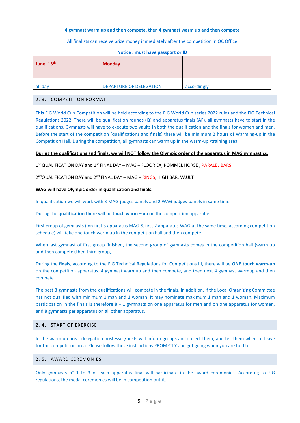| 4 gymnast warm up and then compete, then 4 gymnast warm up and then compete<br>All finalists can receive prize money immediately after the competition in OC Office |                                   |             |  |  |
|---------------------------------------------------------------------------------------------------------------------------------------------------------------------|-----------------------------------|-------------|--|--|
|                                                                                                                                                                     | Notice : must have passport or ID |             |  |  |
| June, 13 <sup>th</sup><br><b>Monday</b>                                                                                                                             |                                   |             |  |  |
| all day                                                                                                                                                             | <b>DEPARTURE OF DELEGATION</b>    | accordingly |  |  |

#### 2. 3. COMPETITION FORMAT

This FIG World Cup Competition will be held according to the FIG World Cup series 2022 rules and the FIG Technical Regulations 2022. There will be qualification rounds  $(Q)$  and apparatus finals (AF), all gymnasts have to start in the qualifications. Gymnasts will have to execute two vaults in both the qualification and the finals for women and men. Before the start of the competition (qualifications and finals) there will be minimum 2 hours of Warming-up in the Competition Hall. During the competition, all gymnasts can warm up in the warm-up /training area.

#### **During the qualifications and finals, we will NOT follow the Olympic order of the apparatus in MAG gymnastics.**

1 st QUALIFICATION DAY and 1st FINAL DAY – MAG – FLOOR EX, POMMEL HORSE , PARALEL BARS

2<sup>nd</sup>QUALIFICATION DAY and 2<sup>nd</sup> FINAL DAY – MAG – <mark>RINGS</mark>, HIGH BAR, VAULT

#### **WAG will have Olympic order in qualification and finals.**

In qualification we will work with 3 MAG-judges panels and 2 WAG-judges-panels in same time

During the **qualification** there will be **touch warm – up** on the competition apparatus.

First group of gymnasts ( on first 3 apparatus MAG & first 2 apparatus WAG at the same time, according competition schedule) will take one touch warm up in the competition hall and then compete.

When last gymnast of first group finished, the second group of gymnasts comes in the competition hall (warm up and then compete), then third group,.....

During the **finals**, according to the FIG Technical Regulations for Competitions III, there will be **ONE touch warm-up** on the competition apparatus. 4 gymnast warmup and then compete, and then next 4 gymnast warmup and then compete

The best 8 gymnasts from the qualifications will compete in the finals. In addition, if the Local Organizing Committee has not qualified with minimum 1 man and 1 woman, it may nominate maximum 1 man and 1 woman. Maximum participation in the finals is therefore 8 + 1 gymnasts on one apparatus for men and on one apparatus for women, and 8 gymnasts per apparatus on all other apparatus.

#### 2.4 START OF EXERCISE

In the warm-up area, delegation hostesses/hosts will inform groups and collect them, and tell them when to leave for the competition area. Please follow these instructions PROMPTLY and get going when you are told to.

#### 2. 5. AWARD CEREMONIES

Only gymnasts n° 1 to 3 of each apparatus final will participate in the award ceremonies. According to FIG regulations, the medal ceremonies will be in competition outfit.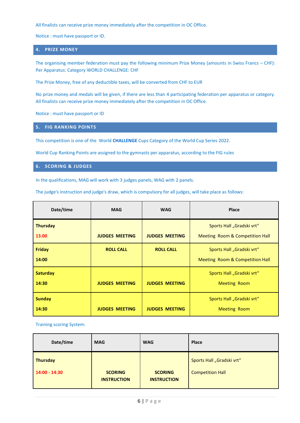All finalists can receive prize money immediately after the competition in OC Office.

Notice : must have passport or ID.

#### **4. PRIZE MONEY**

The organising member federation must pay the following minimum Prize Money (amounts in Swiss Francs – CHF): Per Apparatus: Category WORLD CHALLENGE: CHF

The Prize Money, free of any deductible taxes, will be converted from CHF to EUR

No prize money and medals will be given, if there are less than 4 participating federation per apparatus or category. All finalists can receive prize money immediately after the competition in OC Office.

Notice : must have passport or ID

#### **5. FIG RANKING POINTS**

This competition is one of the World **CHALLENGE** Cups Category of the World Cup Series 2022.

World Cup Ranking Points are assigned to the gymnasts per apparatus, according to the FIG rules

#### **6. SCORING & JUDGES**

In the qualifications, MAG will work with 3 judges panels, WAG with 2 panels.

The judge's instruction and judge's draw, which is compulsory for all judges, will take place as follows:

| Date/time                | <b>MAG</b>            | <b>WAG</b>            | Place                                                        |  |
|--------------------------|-----------------------|-----------------------|--------------------------------------------------------------|--|
| <b>Thursday</b><br>13.00 | <b>JUDGES MEETING</b> | <b>JUDGES MEETING</b> | Sports Hall "Gradski vrt"<br>Meeting Room & Competition Hall |  |
| <b>Friday</b><br>14:00   | <b>ROLL CALL</b>      | <b>ROLL CALL</b>      | Sports Hall "Gradski vrt"<br>Meeting Room & Competition Hall |  |
| <b>Saturday</b><br>14:30 | <b>JUDGES MEETING</b> | <b>JUDGES MEETING</b> | Sports Hall "Gradski vrt"<br><b>Meeting Room</b>             |  |
| <b>Sunday</b><br>14:30   | <b>JUDGES MEETING</b> | <b>JUDGES MEETING</b> | Sports Hall "Gradski vrt"<br><b>Meeting Room</b>             |  |

Training scoring System:

| Date/time       | <b>MAG</b>         | <b>WAG</b>         | Place                     |
|-----------------|--------------------|--------------------|---------------------------|
| <b>Thursday</b> | <b>SCORING</b>     | <b>SCORING</b>     | Sports Hall "Gradski vrt" |
| $14:00 - 14:30$ | <b>INSTRUCTION</b> | <b>INSTRUCTION</b> | <b>Competition Hall</b>   |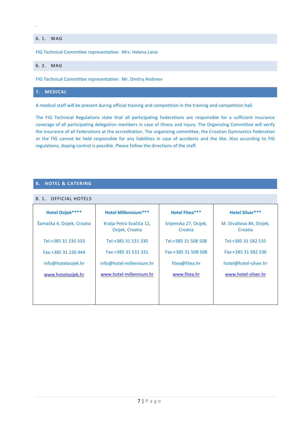# 6. 1. WAG

.

FIG Technical Committee representative: Mrs. Helena Lario

#### 6. 2. MAG

FIG Technical Committee representative: Mr. Dmitry Andreev

# **7. MEDICAL**

A medical staff will be present during official training and competition in the training and competition hall.

The FIG Technical Regulations state that all participating Federations are responsible for a sufficient insurance coverage of all participating delegation members in case of illness and injury. The Organizing Committee will verify the insurance of all Federations at the accreditation. The organizing committee, the Croatian Gymnastics Federation or the FIG cannot be held responsible for any liabilities in case of accidents and the like. Also according to FIG regulations, doping control is possible. Please follow the directions of the staff.

#### **8. HOTEL & CATERING**

## 8. 1. OFFICIAL HOTELS

| <b>Hotel Osijek****</b>    | <b>Hotel Millennium***</b>                  | <b>Hotel Fitea***</b>            | <b>Hotel Silver***</b>              |
|----------------------------|---------------------------------------------|----------------------------------|-------------------------------------|
| Šamačka 4, Osijek, Croatia | Kralja Petra Svačića 12,<br>Osijek, Croatia | Srijemska 27, Osijek,<br>Croatia | M. Divaltova 84, Osijek,<br>Croatia |
| Tel:+385 31 230 333        | Tel:+385 31 531 330                         | Tel:+385 31 508 508              | Tel:+385 31 582 535                 |
| Fax: +385 31 230 444       | Fax: + 385 31 531 331                       | Fax: + 385 31 508 508            | Fax: + 385 31 582 536               |
| info@hotelosijek.hr        | info@hotel-millennium.hr                    | fitea@fitea.hr                   | hotel@hotel-silver.hr               |
| www.hotelosijek.hr         | www.hotel-millennium.hr                     | www.fitea.hr                     | www.hotel-silver.hr                 |
|                            |                                             |                                  |                                     |
|                            |                                             |                                  |                                     |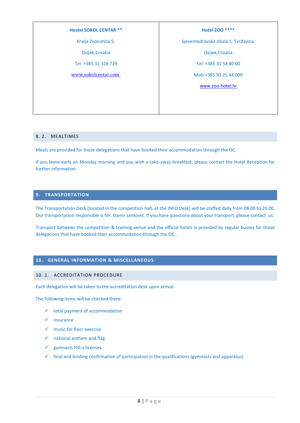#### **Hostel SOKOL CENTAR \*\***

Kralja Zvonimira 5,

Osijek,Croatia

Tel: +385 31 328 729

[www.sokolcentar.com](http://www.sokolcentar.com )

#### **Hotel ZOO \*\*\*\***

Sjevernodravska obala 1, Tvrđavica,

Osijek,Croatia

Tel: +385 31 54 40 00

Mob:+385 91 25 44 009

[www.zoo-hotel.hr](http://www.zoo-hotel.hr/)

#### 8. 2. MEALTIMES

Meals are provided for those delegations that have booked their accommodation through the OC.

If you leave early on Monday morning and you wish a take-away breakfast, please contact the Hotel Reception for further information.

#### **9. TRANSPORTATION**

The Transportation Desk (located in the competition hall, at the INFO Desk) will be staffed daily from 08.00 to 20.00. Our transportation responsible is Mr. Damir Janković. If you have questions about your transport, please contact us.

Transport between the competition & training venue and the official hotels is provided by regular busses for those delegations that have booked their accommodation through the OC .

#### **10. GENERAL INFORMATION & MISCELLANEOUS**

#### 10. 1. ACCREDITATION PROCEDURE

Each delegation will be taken to the accreditation desk upon arrival.

The following items will be checked there:

- $\checkmark$  total payment of accommodation
- ✓ insurance
- ✓ music for floor exercise
- $\checkmark$  national anthem and flag
- ✓ gymnasts FIG-s licenses
- $\checkmark$  final and binding confirmation of participation in the qualifications (gymnasts and apparatus)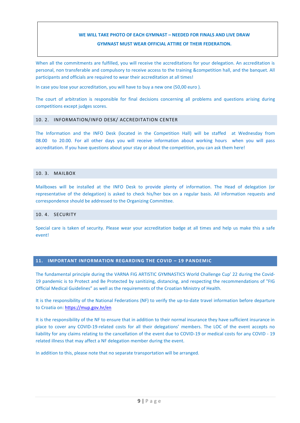# **WE WILL TAKE PHOTO OF EACH GYMNAST – NEEDED FOR FINALS AND LIVE DRAW GYMNAST MUST WEAR OFFICIAL ATTIRE OF THEIR FEDERATION.**

When all the commitments are fulfilled, you will receive the accreditations for your delegation. An accreditation is personal, non transferable and compulsory to receive access to the training &competition hall, and the banquet. All participants and officials are required to wear their accreditation at all times!

In case you lose your accreditation, you will have to buy a new one (50,00 euro ).

The court of arbitration is responsible for final decisions concerning all problems and questions arising during competitions except judges scores.

#### 10. 2. INFORMATION/INFO DESK/ ACCREDITATION CENTER

The Information and the INFO Desk (located in the Competition Hall) will be staffed at Wednesday from 08.00 to 20.00. For all other days you will receive information about working hours when you will pass accreditation. If you have questions about your stay or about the competition, you can ask them here!

#### 10. 3. MAILBOX

Mailboxes will be installed at the INFO Desk to provide plenty of information. The Head of delegation (or representative of the delegation) is asked to check his/her box on a regular basis. All information requests and correspondence should be addressed to the Organizing Committee.

#### 10. 4. SECURITY

Special care is taken of security. Please wear your accreditation badge at all times and help us make this a safe event!

#### **11. IMPORTANT INFORMATION REGARDING THE COVID – 19 PANDEMIC**

The fundamental principle during the VARNA FIG ARTISTIC GYMNASTICS World Challenge Cup' 22 during the Covid-19 pandemic is to Protect and Be Protected by sanitizing, distancing, and respecting the recommendations of "FIG Official Medical Guidelines" as well as the requirements of the Croatian Ministry of Health.

It is the responsibility of the National Federations (NF) to verify the up-to-date travel information before departure to Croatia on:<https://mup.gov.hr/en>

It is the responsibility of the NF to ensure that in addition to their normal insurance they have sufficient insurance in place to cover any COVID-19-related costs for all their delegations' members. The LOC of the event accepts no liability for any claims relating to the cancellation of the event due to COVID-19 or medical costs for any COVID - 19 related illness that may affect a NF delegation member during the event.

In addition to this, please note that no separate transportation will be arranged.